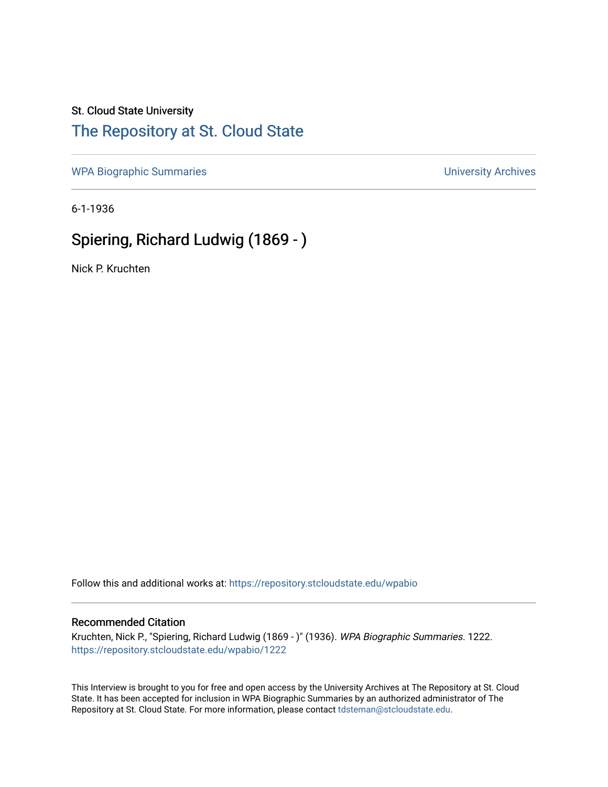## St. Cloud State University

## [The Repository at St. Cloud State](https://repository.stcloudstate.edu/)

[WPA Biographic Summaries](https://repository.stcloudstate.edu/wpabio) **WPA Biographic Summaries University Archives** 

6-1-1936

# Spiering, Richard Ludwig (1869 - )

Nick P. Kruchten

Follow this and additional works at: [https://repository.stcloudstate.edu/wpabio](https://repository.stcloudstate.edu/wpabio?utm_source=repository.stcloudstate.edu%2Fwpabio%2F1222&utm_medium=PDF&utm_campaign=PDFCoverPages) 

#### Recommended Citation

Kruchten, Nick P., "Spiering, Richard Ludwig (1869 - )" (1936). WPA Biographic Summaries. 1222. [https://repository.stcloudstate.edu/wpabio/1222](https://repository.stcloudstate.edu/wpabio/1222?utm_source=repository.stcloudstate.edu%2Fwpabio%2F1222&utm_medium=PDF&utm_campaign=PDFCoverPages) 

This Interview is brought to you for free and open access by the University Archives at The Repository at St. Cloud State. It has been accepted for inclusion in WPA Biographic Summaries by an authorized administrator of The Repository at St. Cloud State. For more information, please contact [tdsteman@stcloudstate.edu.](mailto:tdsteman@stcloudstate.edu)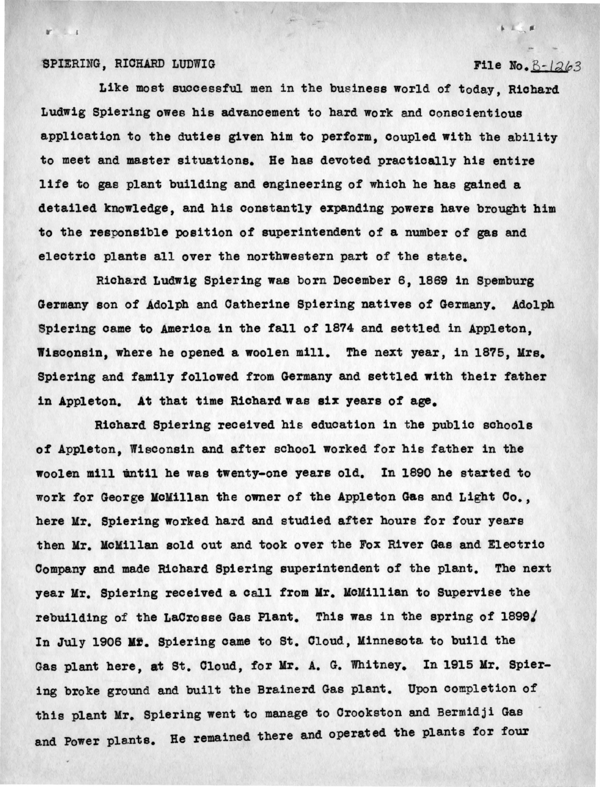#### SPIERING, RICHARD LUDWIG

### File No.  $B - 1263$

 $k - 1$ 

Like most successful men in the business world of today, Richard Ludwig Spiering owes his advancement to hard work and conscientious application to the duties given him to perform, coupled with the ability to meet and master situations. He has devoted practically his entire life to gas plant building and engineering of which he has gained a detailed knowledge, and his constantly expanding powers have brought him to the responsible position of superintendent of a number of gas and electric plants all over the northwestern part of the state.

Richard Ludwig Spiering was born December 6, 1869 in Spemburg Germany son of Adolph and Catherine Spiering natives of Germany. Adolph Spiering came to America in the fall of 1874 and settled in Appleton. Wisconsin, where he opened a woolen mill. The next year, in 1875, Mrs. Spiering and family followed from Germany and settled with their father in Appleton. At that time Richard was six years of age.

Richard Spiering received his education in the public schools of Appleton, Wisconsin and after school worked for bis father in the woolen mill until he was twenty-one years old. In 1890 he started to work for George KoKillan the owner of the Appleton Gas and Light Co., here Mr. Spiering worked hard and studied after hours for four years then Mr. McMillan sold out and took over the Fox River Gas and Electric Company and made Richard Spiering superintendent of the plant. The next year Mr. Spiering received a call from Mr. McMillian to Supervise the rebuilding of the LaCrosse Gas Plant. This was in the spring of 1899/ In July 1906 Mf. Spiering came to St. Cloud, Minnesota to build the Gas plant here, at St. Cloud, for Mr. A. G. Whitney. In 1915 Mr. Spiering broke ground and built the Brainerd Gas plant. Upon completion of this plant Mr. Spiering went to manage to Crookston and Bermidji Gas and Power plants. Re remained there and operated the plants for four